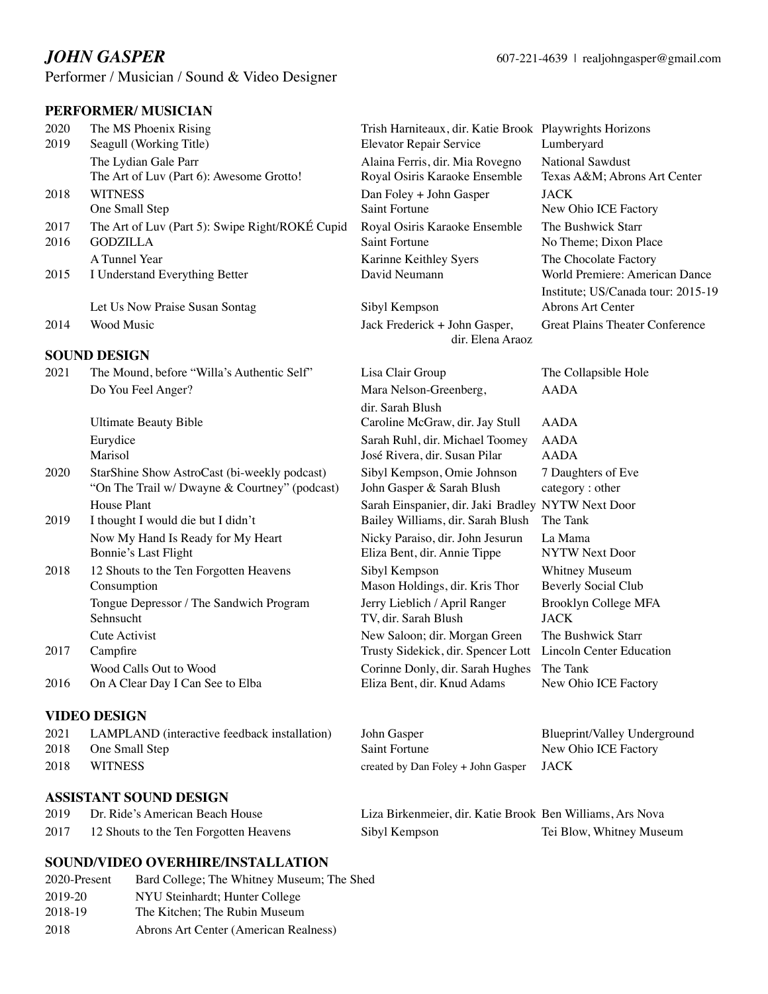Performer / Musician / Sound & Video Designer

# **PERFORMER/ MUSICIAN**

|              | PERFURMER/ MUSICIAN                              |                                                                                           |                                        |
|--------------|--------------------------------------------------|-------------------------------------------------------------------------------------------|----------------------------------------|
| 2020<br>2019 | The MS Phoenix Rising<br>Seagull (Working Title) | Trish Harniteaux, dir. Katie Brook Playwrights Horizons<br><b>Elevator Repair Service</b> | Lumberyard                             |
|              | The Lydian Gale Parr                             | Alaina Ferris, dir. Mia Rovegno                                                           | <b>National Sawdust</b>                |
|              | The Art of Luv (Part 6): Awesome Grotto!         | Royal Osiris Karaoke Ensemble                                                             | Texas A&M Abrons Art Center            |
| 2018         | <b>WITNESS</b>                                   | Dan Foley + John Gasper                                                                   | <b>JACK</b>                            |
|              | One Small Step                                   | <b>Saint Fortune</b>                                                                      | New Ohio ICE Factory                   |
| 2017         | The Art of Luv (Part 5): Swipe Right/ROKÉ Cupid  | Royal Osiris Karaoke Ensemble                                                             | The Bushwick Starr                     |
| 2016         | <b>GODZILLA</b>                                  | Saint Fortune                                                                             | No Theme; Dixon Place                  |
|              | A Tunnel Year                                    | Karinne Keithley Syers                                                                    | The Chocolate Factory                  |
| 2015         | I Understand Everything Better                   | David Neumann                                                                             | World Premiere: American Dance         |
|              |                                                  |                                                                                           | Institute; US/Canada tour: 2015-19     |
|              | Let Us Now Praise Susan Sontag                   | Sibyl Kempson                                                                             | Abrons Art Center                      |
| 2014         | Wood Music                                       | Jack Frederick + John Gasper,                                                             | <b>Great Plains Theater Conference</b> |
|              |                                                  | dir. Elena Araoz                                                                          |                                        |
|              | <b>SOUND DESIGN</b>                              |                                                                                           |                                        |
| 2021         | The Mound, before "Willa's Authentic Self"       | Lisa Clair Group                                                                          | The Collapsible Hole                   |
|              | Do You Feel Anger?                               | Mara Nelson-Greenberg,                                                                    | <b>AADA</b>                            |
|              |                                                  | dir. Sarah Blush                                                                          |                                        |
|              | <b>Ultimate Beauty Bible</b>                     | Caroline McGraw, dir. Jay Stull                                                           | <b>AADA</b>                            |
|              | Eurydice                                         | Sarah Ruhl, dir. Michael Toomey                                                           | <b>AADA</b>                            |
|              | Marisol                                          | José Rivera, dir. Susan Pilar                                                             | <b>AADA</b>                            |
| 2020         | StarShine Show AstroCast (bi-weekly podcast)     | Sibyl Kempson, Omie Johnson                                                               | 7 Daughters of Eve                     |
|              | "On The Trail w/ Dwayne & Courtney" (podcast)    | John Gasper & Sarah Blush                                                                 | category: other                        |
|              | House Plant                                      | Sarah Einspanier, dir. Jaki Bradley NYTW Next Door                                        |                                        |
| 2019         | I thought I would die but I didn't               | Bailey Williams, dir. Sarah Blush                                                         | The Tank                               |
|              | Now My Hand Is Ready for My Heart                | Nicky Paraiso, dir. John Jesurun                                                          | La Mama                                |
|              | Bonnie's Last Flight                             | Eliza Bent, dir. Annie Tippe                                                              | <b>NYTW Next Door</b>                  |

| 2018 | 12 Shouts to the Ten Forgotten Heavens  | Sibyl Kempson                                               | Whitney Museum             |
|------|-----------------------------------------|-------------------------------------------------------------|----------------------------|
|      | Consumption                             | Mason Holdings, dir. Kris Thor                              | <b>Beverly Social Club</b> |
|      | Tongue Depressor / The Sandwich Program | Jerry Lieblich / April Ranger                               | Brooklyn College MFA       |
|      | Sehnsucht                               | TV, dir. Sarah Blush                                        | <b>JACK</b>                |
|      | Cute Activist                           | New Saloon; dir. Morgan Green                               | The Bushwick Starr         |
| 2017 | Campfire                                | Trusty Sidekick, dir. Spencer Lott Lincoln Center Education |                            |
|      |                                         |                                                             |                            |

Wood Calls Out to Wood **Calls Out to Wood Corinne Donly, dir. Sarah Hughes** The Tank 2016 On A Clear Day I Can See to Elba Eliza Bent, dir. Knud Adams New Ohio ICE Factory

#### **VIDEO DESIGN**

| 2021 | LAMPLAND (interactive feedback installation) | John Gasper                               | Blueprint/Valley Underground |
|------|----------------------------------------------|-------------------------------------------|------------------------------|
| 2018 | One Small Step                               | Saint Fortune                             | New Ohio ICE Factory         |
| 2018 | <b>WITNESS</b>                               | created by Dan Foley $+$ John Gasper JACK |                              |

# **ASSISTANT SOUND DESIGN**

| 2019 | Dr. Ride's American Beach House        | Liza Birkenmeier, dir. Katie Brook Ben Williams, Ars Nova |                          |
|------|----------------------------------------|-----------------------------------------------------------|--------------------------|
| 2017 | 12 Shouts to the Ten Forgotten Heavens | Sibyl Kempson                                             | Tei Blow, Whitney Museum |

# **SOUND/VIDEO OVERHIRE/INSTALLATION**

| 2020-Present | Bard College; The Whitney Museum; The Shed |
|--------------|--------------------------------------------|
| 2019-20      | NYU Steinhardt; Hunter College             |
| 2018-19      | The Kitchen; The Rubin Museum              |
| 2018         | Abrons Art Center (American Realness)      |